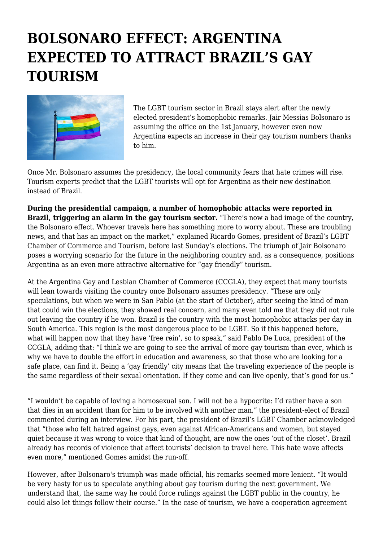## **BOLSONARO EFFECT: ARGENTINA EXPECTED TO ATTRACT BRAZIL'S GAY TOURISM**



The LGBT tourism sector in Brazil stays alert after the newly elected president's homophobic remarks. Jair Messias Bolsonaro is assuming the office on the 1st January, however even now Argentina expects an increase in their gay tourism numbers thanks to him.

Once Mr. Bolsonaro assumes the presidency, the local community fears that hate crimes will rise. Tourism experts predict that the LGBT tourists will opt for Argentina as their new destination instead of Brazil.

**During the presidential campaign, a number of homophobic attacks were reported in Brazil, triggering an alarm in the gay tourism sector.** "There's now a bad image of the country, the Bolsonaro effect. Whoever travels here has something more to worry about. These are troubling news, and that has an impact on the market," explained Ricardo Gomes, president of Brazil's LGBT Chamber of Commerce and Tourism, before last Sunday's elections. The triumph of Jair Bolsonaro poses a worrying scenario for the future in the neighboring country and, as a consequence, positions Argentina as an even more attractive alternative for "gay friendly" tourism.

At the Argentina Gay and Lesbian Chamber of Commerce (CCGLA), they expect that many tourists will lean towards visiting the country once Bolsonaro assumes presidency. "These are only speculations, but when we were in San Pablo (at the start of October), after seeing the kind of man that could win the elections, they showed real concern, and many even told me that they did not rule out leaving the country if he won. Brazil is the country with the most homophobic attacks per day in South America. This region is the most dangerous place to be LGBT. So if this happened before, what will happen now that they have 'free rein', so to speak," said Pablo De Luca, president of the CCGLA, adding that: "I think we are going to see the arrival of more gay tourism than ever, which is why we have to double the effort in education and awareness, so that those who are looking for a safe place, can find it. Being a 'gay friendly' city means that the traveling experience of the people is the same regardless of their sexual orientation. If they come and can live openly, that's good for us."

"I wouldn't be capable of loving a homosexual son. I will not be a hypocrite: I'd rather have a son that dies in an accident than for him to be involved with another man," the president-elect of Brazil commented during an interview. For his part, the president of Brazil's LGBT Chamber acknowledged that "those who felt hatred against gays, even against African-Americans and women, but stayed quiet because it was wrong to voice that kind of thought, are now the ones 'out of the closet'. Brazil already has records of violence that affect tourists' decision to travel here. This hate wave affects even more," mentioned Gomes amidst the run-off.

However, after Bolsonaro's triumph was made official, his remarks seemed more lenient. "It would be very hasty for us to speculate anything about gay tourism during the next government. We understand that, the same way he could force rulings against the LGBT public in the country, he could also let things follow their course." In the case of tourism, we have a cooperation agreement